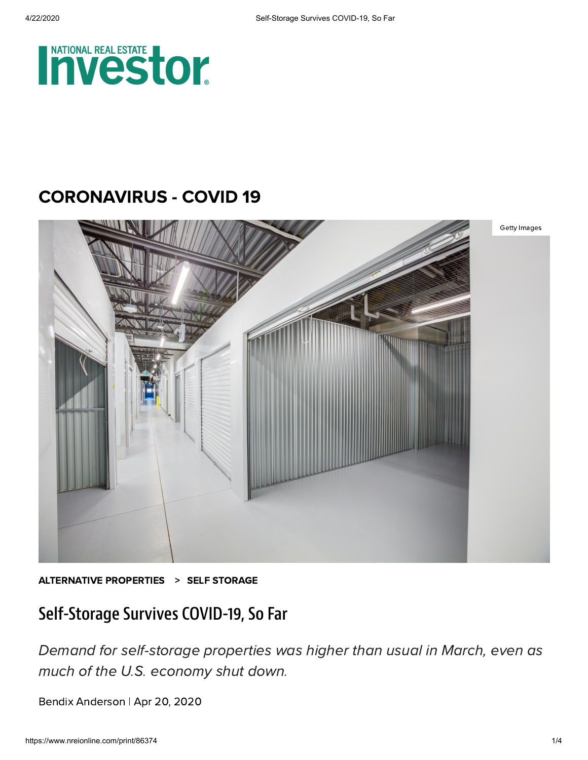

## [CORONAVIRUS -](https://www.nreionline.com/coronavirus-covid-19) COVID 19



[ALTERNATIVE](https://www.nreionline.com/alternative-properties) PROPERTIES > SELF [STORAGE](https://www.nreionline.com/alternative-properties/self-storage)

## Self-Storage Survives COVID-19, So Far

Demand for self-storage properties was higher than usual in March, even as much of the U.S. economy shut down.

Bendix [Anderson](https://www.nreionline.com/author/Bendix-Anderson) | Apr 20, 2020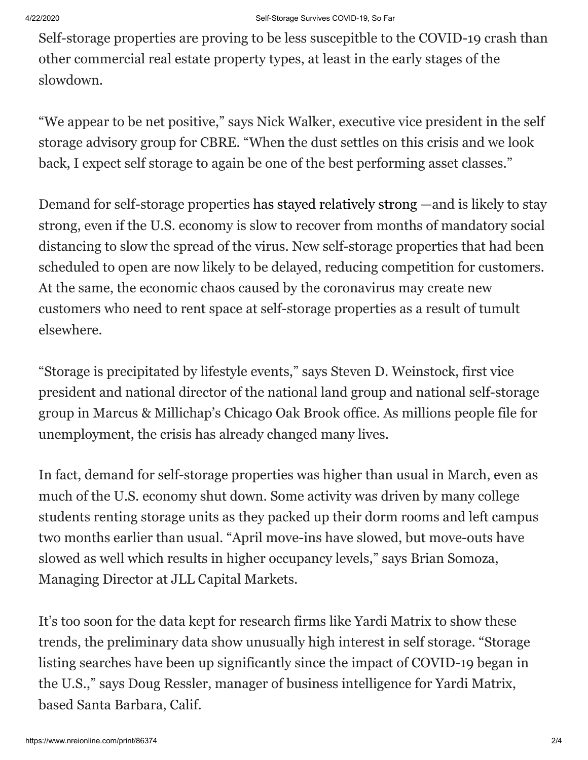Self-storage properties are proving to be less suscepitble to the COVID-19 crash than other commercial real estate property types, at least in the early stages of the slowdown.

"We appear to be net positive," says Nick Walker, executive vice president in the self storage advisory group for CBRE. "When the dust settles on this crisis and we look back, I expect self storage to again be one of the best performing asset classes."

Demand for self-storage properties [has stayed relatively strong](https://www.nreionline.com/investment/cres-potential-winners-and-losers-virus-hit-world) —and is likely to stay strong, even if the U.S. economy is slow to recover from months of mandatory social distancing to slow the spread of the virus. New self-storage properties that had been scheduled to open are now likely to be delayed, reducing competition for customers. At the same, the economic chaos caused by the coronavirus may create new customers who need to rent space at self-storage properties as a result of tumult elsewhere.

"Storage is precipitated by lifestyle events," says Steven D. Weinstock, first vice president and national director of the national land group and national self-storage group in Marcus & Millichap's Chicago Oak Brook office. As millions people file for unemployment, the crisis has already changed many lives.

In fact, demand for self-storage properties was higher than usual in March, even as much of the U.S. economy shut down. Some activity was driven by many college students renting storage units as they packed up their dorm rooms and left campus two months earlier than usual. "April move-ins have slowed, but move-outs have slowed as well which results in higher occupancy levels," says Brian Somoza, Managing Director at JLL Capital Markets.

It's too soon for the data kept for research firms like Yardi Matrix to show these trends, the preliminary data show unusually high interest in self storage. "Storage listing searches have been up significantly since the impact of COVID-19 began in the U.S.," says Doug Ressler, manager of business intelligence for Yardi Matrix, based Santa Barbara, Calif.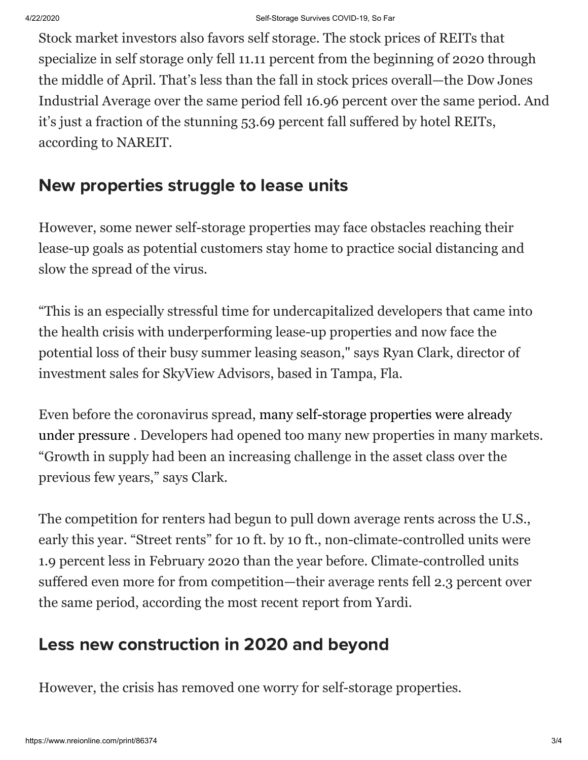Stock market investors also favors self storage. The stock prices of REITs that specialize in self storage only fell 11.11 percent from the beginning of 2020 through the middle of April. That's less than the fall in stock prices overall—the Dow Jones Industrial Average over the same period fell 16.96 percent over the same period. And it's just a fraction of the stunning 53.69 percent fall suffered by hotel REITs, according to NAREIT.

## New properties struggle to lease units

However, some newer self-storage properties may face obstacles reaching their lease-up goals as potential customers stay home to practice social distancing and slow the spread of the virus.

"This is an especially stressful time for undercapitalized developers that came into the health crisis with underperforming lease-up properties and now face the potential loss of their busy summer leasing season," says Ryan Clark, director of investment sales for SkyView Advisors, based in Tampa, Fla.

[Even before the coronavirus spread, many self-storage properties were already](https://www.nreionline.com/self-storage/6-trends-affecting-self-storage-development-2020) under pressure . Developers had opened too many new properties in many markets. "Growth in supply had been an increasing challenge in the asset class over the previous few years," says Clark.

The competition for renters had begun to pull down average rents across the U.S., early this year. "Street rents" for 10 ft. by 10 ft., non-climate-controlled units were 1.9 percent less in February 2020 than the year before. Climate-controlled units suffered even more for from competition—their average rents fell 2.3 percent over the same period, according the most recent report from Yardi.

## Less new construction in 2020 and beyond

However, the crisis has removed one worry for self-storage properties.